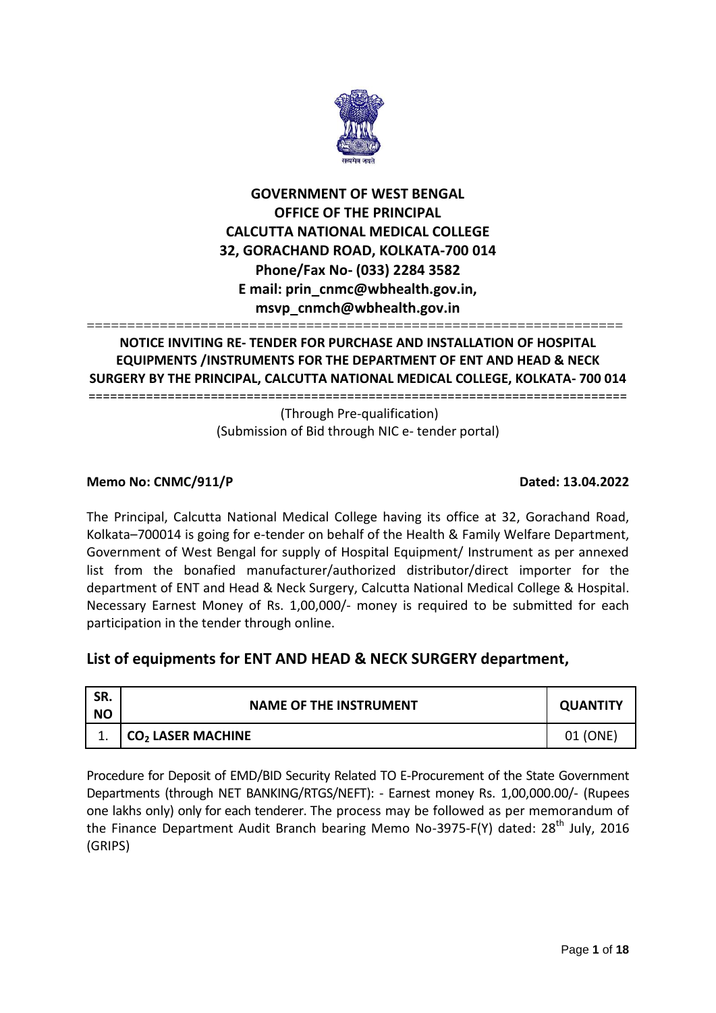

# **GOVERNMENT OF WEST BENGAL OFFICE OF THE PRINCIPAL CALCUTTA NATIONAL MEDICAL COLLEGE 32, GORACHAND ROAD, KOLKATA-700 014 Phone/Fax No- (033) 2284 3582 E mail: prin\_cnmc@wbhealth.gov.in, msvp\_cnmch@wbhealth.gov.in**

#### ================================================================== **NOTICE INVITING RE- TENDER FOR PURCHASE AND INSTALLATION OF HOSPITAL EQUIPMENTS /INSTRUMENTS FOR THE DEPARTMENT OF ENT AND HEAD & NECK SURGERY BY THE PRINCIPAL, CALCUTTA NATIONAL MEDICAL COLLEGE, KOLKATA- 700 014** ===========================================================================

(Through Pre-qualification) (Submission of Bid through NIC e- tender portal)

## **Memo No: CNMC/911/P Dated: 13.04.2022**

The Principal, Calcutta National Medical College having its office at 32, Gorachand Road, Kolkata–700014 is going for e-tender on behalf of the Health & Family Welfare Department, Government of West Bengal for supply of Hospital Equipment/ Instrument as per annexed list from the bonafied manufacturer/authorized distributor/direct importer for the department of ENT and Head & Neck Surgery, Calcutta National Medical College & Hospital. Necessary Earnest Money of Rs. 1,00,000/- money is required to be submitted for each participation in the tender through online.

# **List of equipments for ENT AND HEAD & NECK SURGERY department,**

| SR.<br><b>NO</b> | <b>NAME OF THE INSTRUMENT</b> | <b>QUANTITY</b> |  |
|------------------|-------------------------------|-----------------|--|
|                  | $CO2$ LASER MACHINE           | 01 (ONE)        |  |

Procedure for Deposit of EMD/BID Security Related TO E-Procurement of the State Government Departments (through NET BANKING/RTGS/NEFT): - Earnest money Rs. 1,00,000.00/- (Rupees one lakhs only) only for each tenderer. The process may be followed as per memorandum of the Finance Department Audit Branch bearing Memo No-3975-F(Y) dated: 28<sup>th</sup> July, 2016 (GRIPS)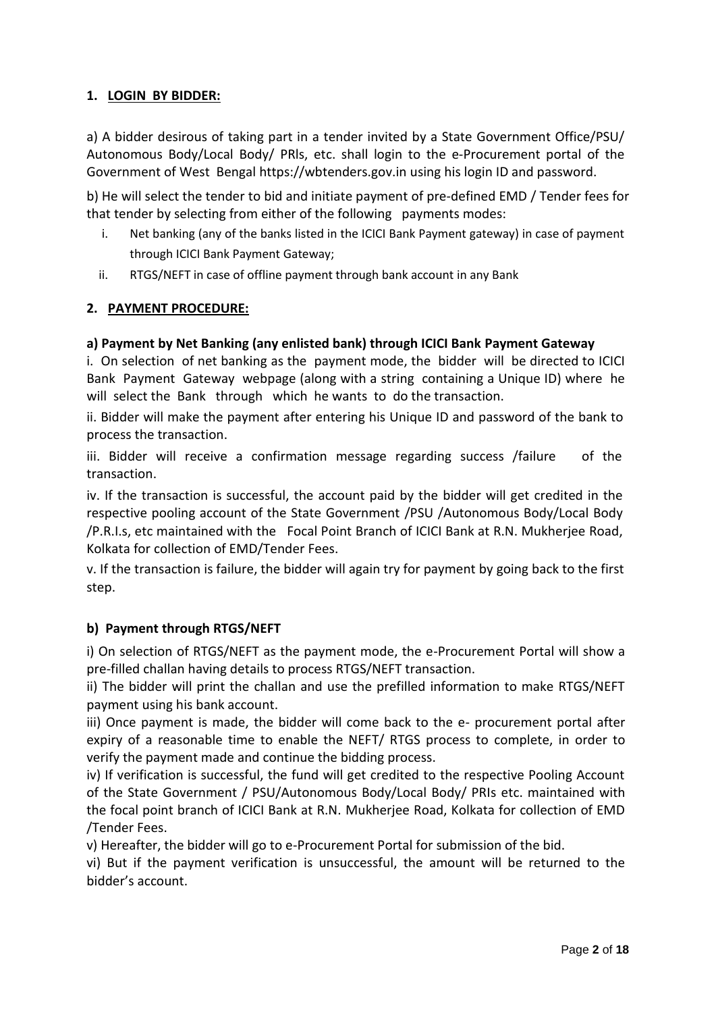## **1. LOGIN BY BIDDER:**

a) A bidder desirous of taking part in a tender invited by a State Government Office/PSU/ Autonomous Body/Local Body/ PRls, etc. shall login to the e-Procurement portal of the Government of West Bengal https://wbtenders.gov.in using his login ID and password.

b) He will select the tender to bid and initiate payment of pre-defined EMD / Tender fees for that tender by selecting from either of the following payments modes:

- i. Net banking (any of the banks listed in the ICICI Bank Payment gateway) in case of payment through ICICI Bank Payment Gateway;
- ii. RTGS/NEFT in case of offline payment through bank account in any Bank

## **2. PAYMENT PROCEDURE:**

### **a) Payment by Net Banking (any enlisted bank) through ICICI Bank Payment Gateway**

i. On selection of net banking as the payment mode, the bidder will be directed to ICICI Bank Payment Gateway webpage (along with a string containing a Unique ID) where he will select the Bank through which he wants to do the transaction.

ii. Bidder will make the payment after entering his Unique ID and password of the bank to process the transaction.

iii. Bidder will receive a confirmation message regarding success /failure of the transaction.

iv. If the transaction is successful, the account paid by the bidder will get credited in the respective pooling account of the State Government /PSU /Autonomous Body/Local Body /P.R.I.s, etc maintained with the Focal Point Branch of ICICI Bank at R.N. Mukherjee Road, Kolkata for collection of EMD/Tender Fees.

v. If the transaction is failure, the bidder will again try for payment by going back to the first step.

#### **b) Payment through RTGS/NEFT**

i) On selection of RTGS/NEFT as the payment mode, the e-Procurement Portal will show a pre-filled challan having details to process RTGS/NEFT transaction.

ii) The bidder will print the challan and use the prefilled information to make RTGS/NEFT payment using his bank account.

iii) Once payment is made, the bidder will come back to the e- procurement portal after expiry of a reasonable time to enable the NEFT/ RTGS process to complete, in order to verify the payment made and continue the bidding process.

iv) If verification is successful, the fund will get credited to the respective Pooling Account of the State Government / PSU/Autonomous Body/Local Body/ PRIs etc. maintained with the focal point branch of ICICI Bank at R.N. Mukherjee Road, Kolkata for collection of EMD /Tender Fees.

v) Hereafter, the bidder will go to e-Procurement Portal for submission of the bid.

vi) But if the payment verification is unsuccessful, the amount will be returned to the bidder's account.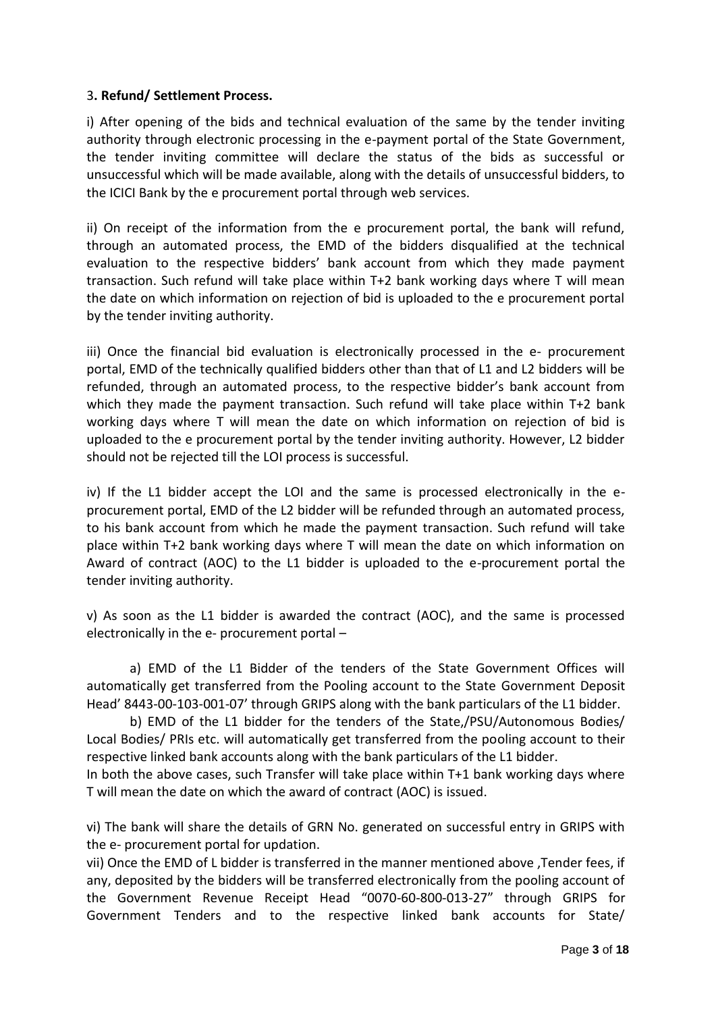#### 3**. Refund/ Settlement Process.**

i) After opening of the bids and technical evaluation of the same by the tender inviting authority through electronic processing in the e-payment portal of the State Government, the tender inviting committee will declare the status of the bids as successful or unsuccessful which will be made available, along with the details of unsuccessful bidders, to the ICICI Bank by the e procurement portal through web services.

ii) On receipt of the information from the e procurement portal, the bank will refund, through an automated process, the EMD of the bidders disqualified at the technical evaluation to the respective bidders' bank account from which they made payment transaction. Such refund will take place within T+2 bank working days where T will mean the date on which information on rejection of bid is uploaded to the e procurement portal by the tender inviting authority.

iii) Once the financial bid evaluation is electronically processed in the e- procurement portal, EMD of the technically qualified bidders other than that of L1 and L2 bidders will be refunded, through an automated process, to the respective bidder's bank account from which they made the payment transaction. Such refund will take place within T+2 bank working days where T will mean the date on which information on rejection of bid is uploaded to the e procurement portal by the tender inviting authority. However, L2 bidder should not be rejected till the LOI process is successful.

iv) If the L1 bidder accept the LOI and the same is processed electronically in the eprocurement portal, EMD of the L2 bidder will be refunded through an automated process, to his bank account from which he made the payment transaction. Such refund will take place within T+2 bank working days where T will mean the date on which information on Award of contract (AOC) to the L1 bidder is uploaded to the e-procurement portal the tender inviting authority.

v) As soon as the L1 bidder is awarded the contract (AOC), and the same is processed electronically in the e- procurement portal –

a) EMD of the L1 Bidder of the tenders of the State Government Offices will automatically get transferred from the Pooling account to the State Government Deposit Head' 8443-00-103-001-07' through GRIPS along with the bank particulars of the L1 bidder.

b) EMD of the L1 bidder for the tenders of the State,/PSU/Autonomous Bodies/ Local Bodies/ PRIs etc. will automatically get transferred from the pooling account to their respective linked bank accounts along with the bank particulars of the L1 bidder.

In both the above cases, such Transfer will take place within T+1 bank working days where T will mean the date on which the award of contract (AOC) is issued.

vi) The bank will share the details of GRN No. generated on successful entry in GRIPS with the e- procurement portal for updation.

vii) Once the EMD of L bidder is transferred in the manner mentioned above ,Tender fees, if any, deposited by the bidders will be transferred electronically from the pooling account of the Government Revenue Receipt Head "0070-60-800-013-27" through GRIPS for Government Tenders and to the respective linked bank accounts for State/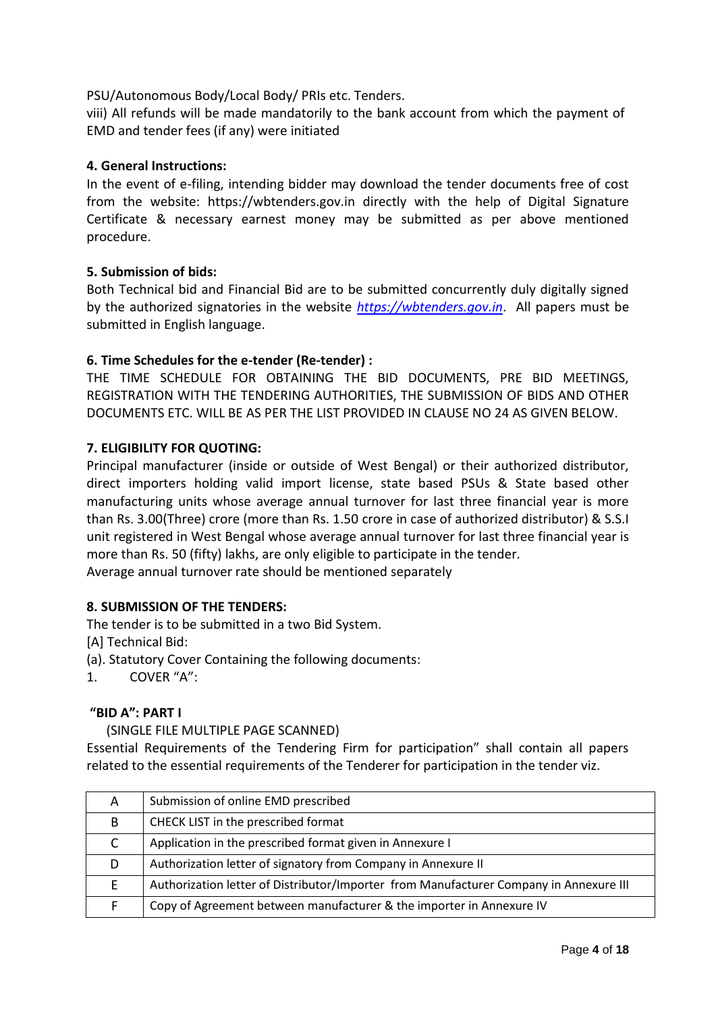### PSU/Autonomous Body/Local Body/ PRIs etc. Tenders.

viii) All refunds will be made mandatorily to the bank account from which the payment of EMD and tender fees (if any) were initiated

### **4. General Instructions:**

In the event of e-filing, intending bidder may download the tender documents free of cost from the website: https://wbtenders.gov.in directly with the help of Digital Signature Certificate & necessary earnest money may be submitted as per above mentioned procedure.

### **5. Submission of bids:**

Both Technical bid and Financial Bid are to be submitted concurrently duly digitally signed by the authorized signatories in the website *[https://wbtenders.gov.in](https://wbtenders.gov.in/)*. All papers must be submitted in English language.

### **6. Time Schedules for the e-tender (Re-tender) :**

THE TIME SCHEDULE FOR OBTAINING THE BID DOCUMENTS, PRE BID MEETINGS, REGISTRATION WITH THE TENDERING AUTHORITIES, THE SUBMISSION OF BIDS AND OTHER DOCUMENTS ETC. WILL BE AS PER THE LIST PROVIDED IN CLAUSE NO 24 AS GIVEN BELOW.

### **7. ELIGIBILITY FOR QUOTING:**

Principal manufacturer (inside or outside of West Bengal) or their authorized distributor, direct importers holding valid import license, state based PSUs & State based other manufacturing units whose average annual turnover for last three financial year is more than Rs. 3.00(Three) crore (more than Rs. 1.50 crore in case of authorized distributor) & S.S.I unit registered in West Bengal whose average annual turnover for last three financial year is more than Rs. 50 (fifty) lakhs, are only eligible to participate in the tender. Average annual turnover rate should be mentioned separately

#### **8. SUBMISSION OF THE TENDERS:**

The tender is to be submitted in a two Bid System.

[A] Technical Bid:

(a). Statutory Cover Containing the following documents:

1. COVER "A":

#### **"BID A": PART I**

#### (SINGLE FILE MULTIPLE PAGE SCANNED)

Essential Requirements of the Tendering Firm for participation" shall contain all papers related to the essential requirements of the Tenderer for participation in the tender viz.

| A | Submission of online EMD prescribed                                                    |
|---|----------------------------------------------------------------------------------------|
| B | CHECK LIST in the prescribed format                                                    |
|   | Application in the prescribed format given in Annexure I                               |
| D | Authorization letter of signatory from Company in Annexure II                          |
|   | Authorization letter of Distributor/Importer from Manufacturer Company in Annexure III |
|   | Copy of Agreement between manufacturer & the importer in Annexure IV                   |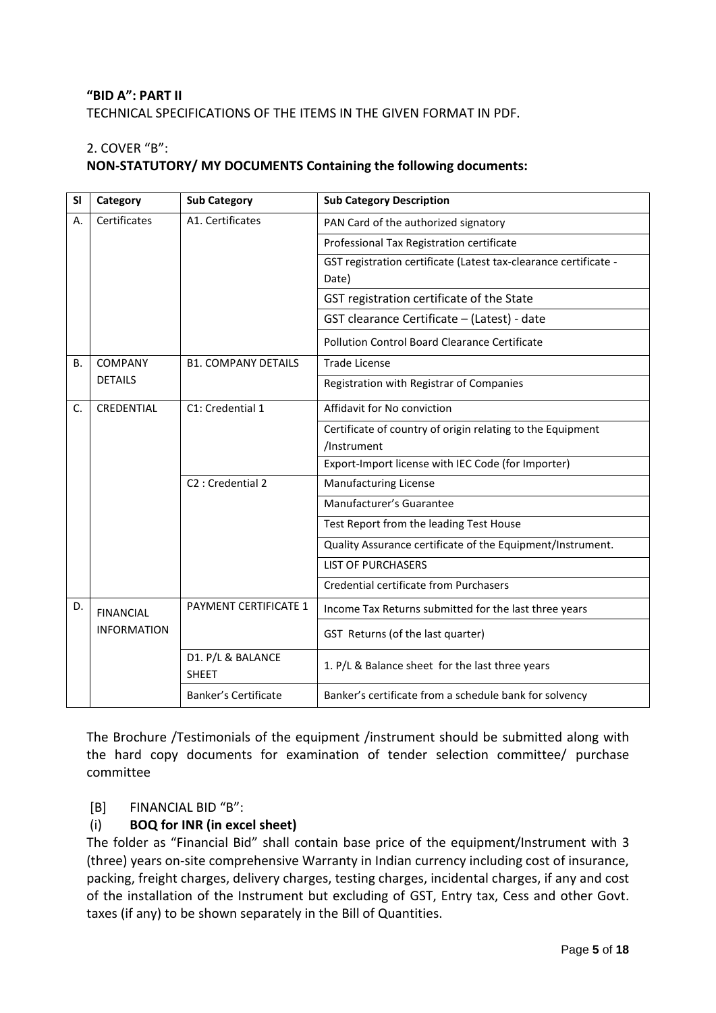## **"BID A": PART II** TECHNICAL SPECIFICATIONS OF THE ITEMS IN THE GIVEN FORMAT IN PDF.

## 2. COVER "B":

## **NON-STATUTORY/ MY DOCUMENTS Containing the following documents:**

| <b>SI</b> | Category           | <b>Sub Category</b>               | <b>Sub Category Description</b>                                  |
|-----------|--------------------|-----------------------------------|------------------------------------------------------------------|
| А.        | Certificates       | A1. Certificates                  | PAN Card of the authorized signatory                             |
|           |                    |                                   | Professional Tax Registration certificate                        |
|           |                    |                                   | GST registration certificate (Latest tax-clearance certificate - |
|           |                    |                                   | Date)                                                            |
|           |                    |                                   | GST registration certificate of the State                        |
|           |                    |                                   | GST clearance Certificate - (Latest) - date                      |
|           |                    |                                   | <b>Pollution Control Board Clearance Certificate</b>             |
| В.        | <b>COMPANY</b>     | <b>B1. COMPANY DETAILS</b>        | <b>Trade License</b>                                             |
|           | <b>DETAILS</b>     |                                   | Registration with Registrar of Companies                         |
| C.        | CREDENTIAL         | C1: Credential 1                  | Affidavit for No conviction                                      |
|           |                    |                                   | Certificate of country of origin relating to the Equipment       |
|           |                    |                                   | /Instrument                                                      |
|           |                    |                                   | Export-Import license with IEC Code (for Importer)               |
|           |                    | C <sub>2</sub> : Credential 2     | <b>Manufacturing License</b>                                     |
|           |                    |                                   | Manufacturer's Guarantee                                         |
|           |                    |                                   | Test Report from the leading Test House                          |
|           |                    |                                   | Quality Assurance certificate of the Equipment/Instrument.       |
|           |                    |                                   | <b>LIST OF PURCHASERS</b>                                        |
|           |                    |                                   | Credential certificate from Purchasers                           |
| D.        | <b>FINANCIAL</b>   | <b>PAYMENT CERTIFICATE 1</b>      | Income Tax Returns submitted for the last three years            |
|           | <b>INFORMATION</b> |                                   | GST Returns (of the last quarter)                                |
|           |                    | D1. P/L & BALANCE<br><b>SHEET</b> | 1. P/L & Balance sheet for the last three years                  |
|           |                    | Banker's Certificate              | Banker's certificate from a schedule bank for solvency           |

The Brochure /Testimonials of the equipment /instrument should be submitted along with the hard copy documents for examination of tender selection committee/ purchase committee

#### [B] FINANCIAL BID "B":

## (i) **BOQ for INR (in excel sheet)**

The folder as "Financial Bid" shall contain base price of the equipment/Instrument with 3 (three) years on-site comprehensive Warranty in Indian currency including cost of insurance, packing, freight charges, delivery charges, testing charges, incidental charges, if any and cost of the installation of the Instrument but excluding of GST, Entry tax, Cess and other Govt. taxes (if any) to be shown separately in the Bill of Quantities.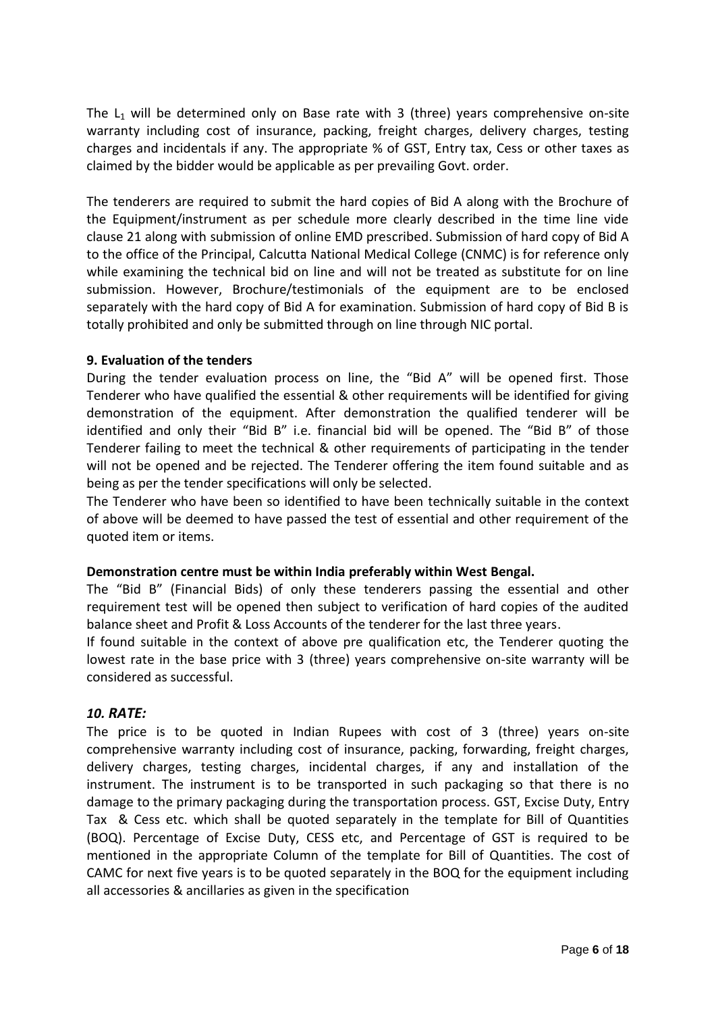The  $L_1$  will be determined only on Base rate with 3 (three) years comprehensive on-site warranty including cost of insurance, packing, freight charges, delivery charges, testing charges and incidentals if any. The appropriate % of GST, Entry tax, Cess or other taxes as claimed by the bidder would be applicable as per prevailing Govt. order.

The tenderers are required to submit the hard copies of Bid A along with the Brochure of the Equipment/instrument as per schedule more clearly described in the time line vide clause 21 along with submission of online EMD prescribed. Submission of hard copy of Bid A to the office of the Principal, Calcutta National Medical College (CNMC) is for reference only while examining the technical bid on line and will not be treated as substitute for on line submission. However, Brochure/testimonials of the equipment are to be enclosed separately with the hard copy of Bid A for examination. Submission of hard copy of Bid B is totally prohibited and only be submitted through on line through NIC portal.

#### **9. Evaluation of the tenders**

During the tender evaluation process on line, the "Bid A" will be opened first. Those Tenderer who have qualified the essential & other requirements will be identified for giving demonstration of the equipment. After demonstration the qualified tenderer will be identified and only their "Bid B" i.e. financial bid will be opened. The "Bid B" of those Tenderer failing to meet the technical & other requirements of participating in the tender will not be opened and be rejected. The Tenderer offering the item found suitable and as being as per the tender specifications will only be selected.

The Tenderer who have been so identified to have been technically suitable in the context of above will be deemed to have passed the test of essential and other requirement of the quoted item or items.

#### **Demonstration centre must be within India preferably within West Bengal.**

The "Bid B" (Financial Bids) of only these tenderers passing the essential and other requirement test will be opened then subject to verification of hard copies of the audited balance sheet and Profit & Loss Accounts of the tenderer for the last three years.

If found suitable in the context of above pre qualification etc, the Tenderer quoting the lowest rate in the base price with 3 (three) years comprehensive on-site warranty will be considered as successful.

## *10. RATE:*

The price is to be quoted in Indian Rupees with cost of 3 (three) years on-site comprehensive warranty including cost of insurance, packing, forwarding, freight charges, delivery charges, testing charges, incidental charges, if any and installation of the instrument. The instrument is to be transported in such packaging so that there is no damage to the primary packaging during the transportation process. GST, Excise Duty, Entry Tax & Cess etc. which shall be quoted separately in the template for Bill of Quantities (BOQ). Percentage of Excise Duty, CESS etc, and Percentage of GST is required to be mentioned in the appropriate Column of the template for Bill of Quantities. The cost of CAMC for next five years is to be quoted separately in the BOQ for the equipment including all accessories & ancillaries as given in the specification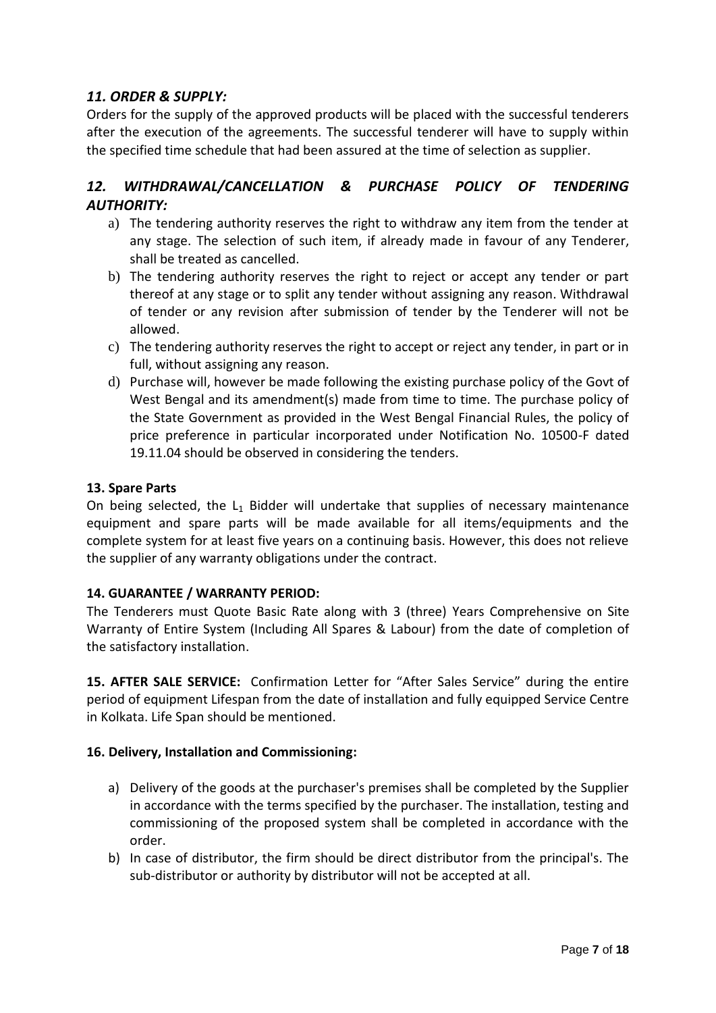## *11. ORDER & SUPPLY:*

Orders for the supply of the approved products will be placed with the successful tenderers after the execution of the agreements. The successful tenderer will have to supply within the specified time schedule that had been assured at the time of selection as supplier.

## 12. WITHDRAWAL/CANCELLATION & PURCHASE POLICY OF TENDERING *AUTHORITY:*

- a) The tendering authority reserves the right to withdraw any item from the tender at any stage. The selection of such item, if already made in favour of any Tenderer, shall be treated as cancelled.
- b) The tendering authority reserves the right to reject or accept any tender or part thereof at any stage or to split any tender without assigning any reason. Withdrawal of tender or any revision after submission of tender by the Tenderer will not be allowed.
- c) The tendering authority reserves the right to accept or reject any tender, in part or in full, without assigning any reason.
- d) Purchase will, however be made following the existing purchase policy of the Govt of West Bengal and its amendment(s) made from time to time. The purchase policy of the State Government as provided in the West Bengal Financial Rules, the policy of price preference in particular incorporated under Notification No. 10500-F dated 19.11.04 should be observed in considering the tenders.

### **13. Spare Parts**

On being selected, the  $L_1$  Bidder will undertake that supplies of necessary maintenance equipment and spare parts will be made available for all items/equipments and the complete system for at least five years on a continuing basis. However, this does not relieve the supplier of any warranty obligations under the contract.

## **14. GUARANTEE / WARRANTY PERIOD:**

The Tenderers must Quote Basic Rate along with 3 (three) Years Comprehensive on Site Warranty of Entire System (Including All Spares & Labour) from the date of completion of the satisfactory installation.

**15. AFTER SALE SERVICE:** Confirmation Letter for "After Sales Service" during the entire period of equipment Lifespan from the date of installation and fully equipped Service Centre in Kolkata. Life Span should be mentioned.

#### **16. Delivery, Installation and Commissioning:**

- a) Delivery of the goods at the purchaser's premises shall be completed by the Supplier in accordance with the terms specified by the purchaser. The installation, testing and commissioning of the proposed system shall be completed in accordance with the order.
- b) In case of distributor, the firm should be direct distributor from the principal's. The sub-distributor or authority by distributor will not be accepted at all.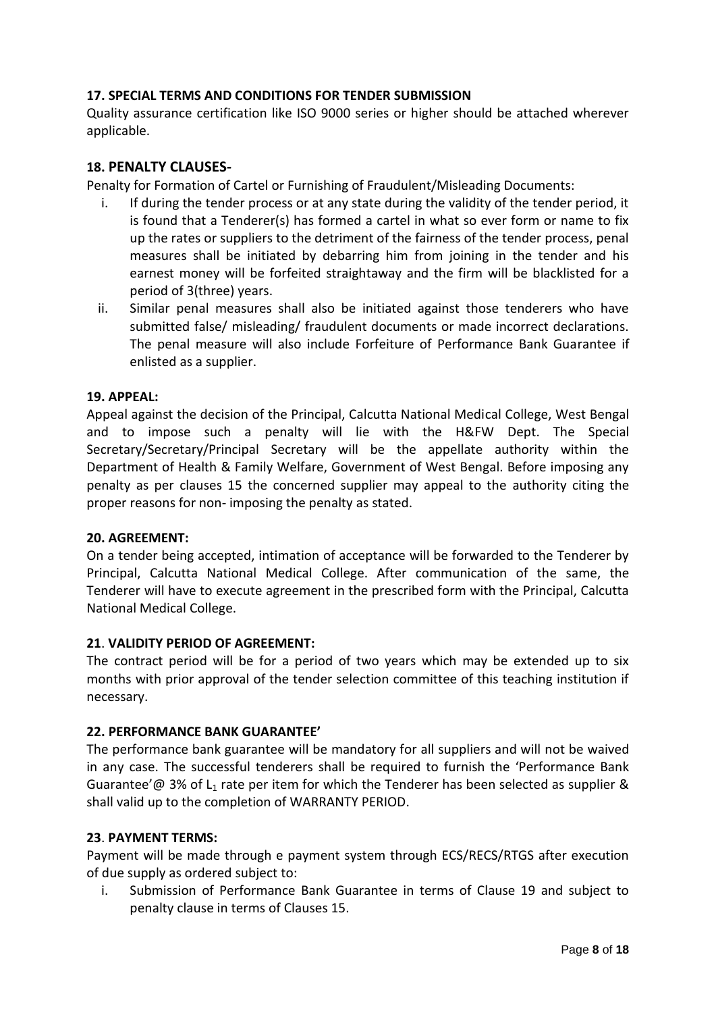### **17. SPECIAL TERMS AND CONDITIONS FOR TENDER SUBMISSION**

Quality assurance certification like ISO 9000 series or higher should be attached wherever applicable.

#### **18. PENALTY CLAUSES-**

Penalty for Formation of Cartel or Furnishing of Fraudulent/Misleading Documents:

- i. If during the tender process or at any state during the validity of the tender period, it is found that a Tenderer(s) has formed a cartel in what so ever form or name to fix up the rates or suppliers to the detriment of the fairness of the tender process, penal measures shall be initiated by debarring him from joining in the tender and his earnest money will be forfeited straightaway and the firm will be blacklisted for a period of 3(three) years.
- ii. Similar penal measures shall also be initiated against those tenderers who have submitted false/ misleading/ fraudulent documents or made incorrect declarations. The penal measure will also include Forfeiture of Performance Bank Guarantee if enlisted as a supplier.

#### **19. APPEAL:**

Appeal against the decision of the Principal, Calcutta National Medical College, West Bengal and to impose such a penalty will lie with the H&FW Dept. The Special Secretary/Secretary/Principal Secretary will be the appellate authority within the Department of Health & Family Welfare, Government of West Bengal. Before imposing any penalty as per clauses 15 the concerned supplier may appeal to the authority citing the proper reasons for non- imposing the penalty as stated.

#### **20. AGREEMENT:**

On a tender being accepted, intimation of acceptance will be forwarded to the Tenderer by Principal, Calcutta National Medical College. After communication of the same, the Tenderer will have to execute agreement in the prescribed form with the Principal, Calcutta National Medical College.

#### **21**. **VALIDITY PERIOD OF AGREEMENT:**

The contract period will be for a period of two years which may be extended up to six months with prior approval of the tender selection committee of this teaching institution if necessary.

#### **22. PERFORMANCE BANK GUARANTEE'**

The performance bank guarantee will be mandatory for all suppliers and will not be waived in any case. The successful tenderers shall be required to furnish the 'Performance Bank Guarantee'  $\omega$  3% of L<sub>1</sub> rate per item for which the Tenderer has been selected as supplier & shall valid up to the completion of WARRANTY PERIOD.

#### **23**. **PAYMENT TERMS:**

Payment will be made through e payment system through ECS/RECS/RTGS after execution of due supply as ordered subject to:

i. Submission of Performance Bank Guarantee in terms of Clause 19 and subject to penalty clause in terms of Clauses 15.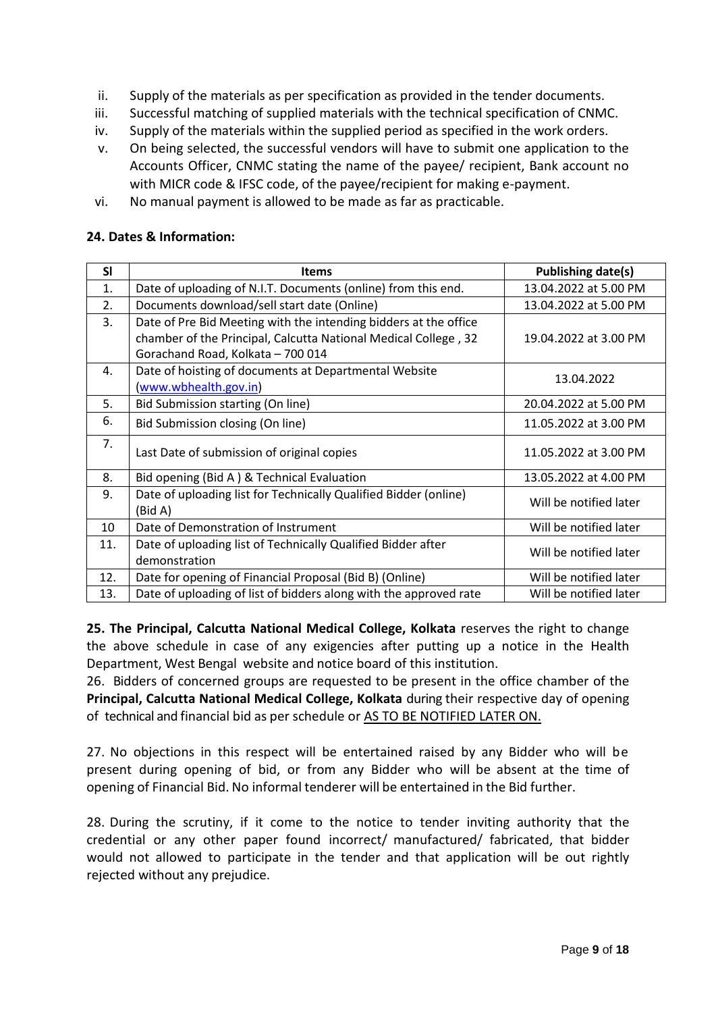- ii. Supply of the materials as per specification as provided in the tender documents.
- iii. Successful matching of supplied materials with the technical specification of CNMC.
- iv. Supply of the materials within the supplied period as specified in the work orders.
- v. On being selected, the successful vendors will have to submit one application to the Accounts Officer, CNMC stating the name of the payee/ recipient, Bank account no with MICR code & IFSC code, of the payee/recipient for making e-payment.
- vi. No manual payment is allowed to be made as far as practicable.

#### **24. Dates & Information:**

| <b>SI</b>        | <b>Items</b>                                                                | Publishing date(s)     |
|------------------|-----------------------------------------------------------------------------|------------------------|
| 1.               | Date of uploading of N.I.T. Documents (online) from this end.               | 13.04.2022 at 5.00 PM  |
| $\overline{2}$ . | Documents download/sell start date (Online)                                 | 13.04.2022 at 5.00 PM  |
| 3.               | Date of Pre Bid Meeting with the intending bidders at the office            |                        |
|                  | chamber of the Principal, Calcutta National Medical College, 32             | 19.04.2022 at 3.00 PM  |
|                  | Gorachand Road, Kolkata - 700 014                                           |                        |
| 4.               | Date of hoisting of documents at Departmental Website                       | 13.04.2022             |
|                  | (www.wbhealth.gov.in)                                                       |                        |
| 5.               | Bid Submission starting (On line)                                           | 20.04.2022 at 5.00 PM  |
| 6.               | Bid Submission closing (On line)                                            | 11.05.2022 at 3.00 PM  |
| 7.               | Last Date of submission of original copies                                  | 11.05.2022 at 3.00 PM  |
| 8.               | Bid opening (Bid A) & Technical Evaluation                                  | 13.05.2022 at 4.00 PM  |
| 9.               | Date of uploading list for Technically Qualified Bidder (online)<br>(Bid A) | Will be notified later |
| 10               | Date of Demonstration of Instrument                                         | Will be notified later |
| 11.              | Date of uploading list of Technically Qualified Bidder after                | Will be notified later |
|                  | demonstration                                                               |                        |
| 12.              | Date for opening of Financial Proposal (Bid B) (Online)                     | Will be notified later |
| 13.              | Date of uploading of list of bidders along with the approved rate           | Will be notified later |

**25. The Principal, Calcutta National Medical College, Kolkata** reserves the right to change the above schedule in case of any exigencies after putting up a notice in the Health Department, West Bengal website and notice board of this institution.

26. Bidders of concerned groups are requested to be present in the office chamber of the **Principal, Calcutta National Medical College, Kolkata** during their respective day of opening of technical and financial bid as per schedule or AS TO BE NOTIFIED LATER ON.

27. No objections in this respect will be entertained raised by any Bidder who will be present during opening of bid, or from any Bidder who will be absent at the time of opening of Financial Bid. No informal tenderer will be entertained in the Bid further.

28. During the scrutiny, if it come to the notice to tender inviting authority that the credential or any other paper found incorrect/ manufactured/ fabricated, that bidder would not allowed to participate in the tender and that application will be out rightly rejected without any prejudice.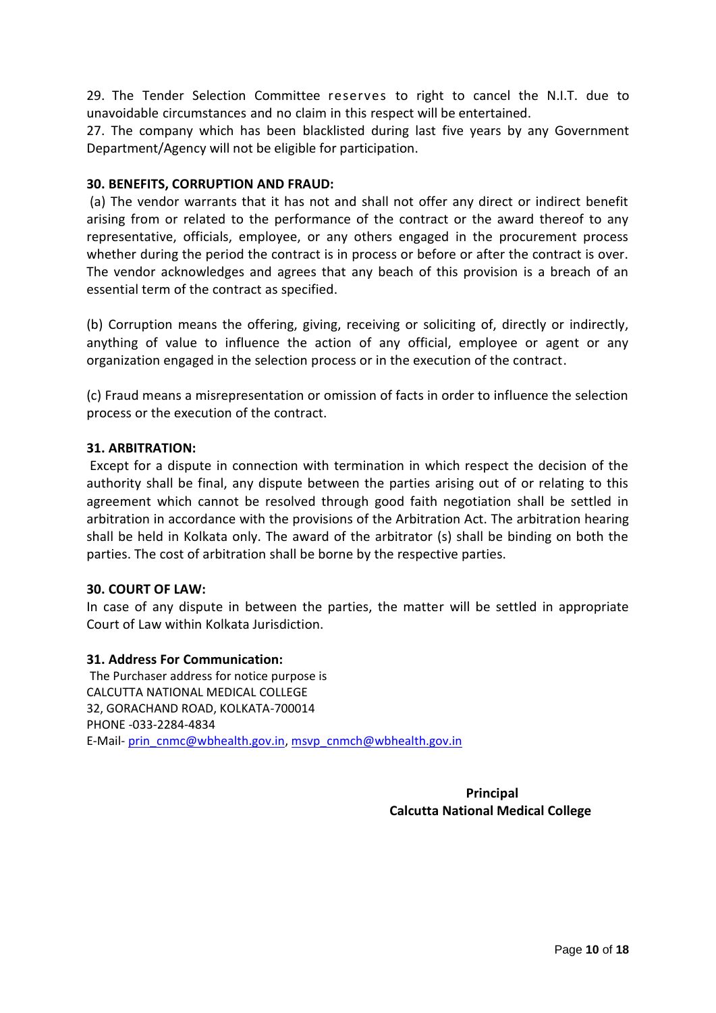29. The Tender Selection Committee reserves to right to cancel the N.I.T. due to unavoidable circumstances and no claim in this respect will be entertained.

27. The company which has been blacklisted during last five years by any Government Department/Agency will not be eligible for participation.

#### **30. BENEFITS, CORRUPTION AND FRAUD:**

(a) The vendor warrants that it has not and shall not offer any direct or indirect benefit arising from or related to the performance of the contract or the award thereof to any representative, officials, employee, or any others engaged in the procurement process whether during the period the contract is in process or before or after the contract is over. The vendor acknowledges and agrees that any beach of this provision is a breach of an essential term of the contract as specified.

(b) Corruption means the offering, giving, receiving or soliciting of, directly or indirectly, anything of value to influence the action of any official, employee or agent or any organization engaged in the selection process or in the execution of the contract.

(c) Fraud means a misrepresentation or omission of facts in order to influence the selection process or the execution of the contract.

#### **31. ARBITRATION:**

Except for a dispute in connection with termination in which respect the decision of the authority shall be final, any dispute between the parties arising out of or relating to this agreement which cannot be resolved through good faith negotiation shall be settled in arbitration in accordance with the provisions of the Arbitration Act. The arbitration hearing shall be held in Kolkata only. The award of the arbitrator (s) shall be binding on both the parties. The cost of arbitration shall be borne by the respective parties.

#### **30. COURT OF LAW:**

In case of any dispute in between the parties, the matter will be settled in appropriate Court of Law within Kolkata Jurisdiction.

#### **31. Address For Communication:**

The Purchaser address for notice purpose is CALCUTTA NATIONAL MEDICAL COLLEGE 32, GORACHAND ROAD, KOLKATA-700014 PHONE -033-2284-4834 E-Mail- [prin\\_cnmc@wbhealth.gov.in,](mailto:prin_cnmc@wbhealth.gov.in) [msvp\\_cnmch@wbhealth.gov.in](mailto:msvp_cnmch@wbhealth.gov.in)

> **Principal Calcutta National Medical College**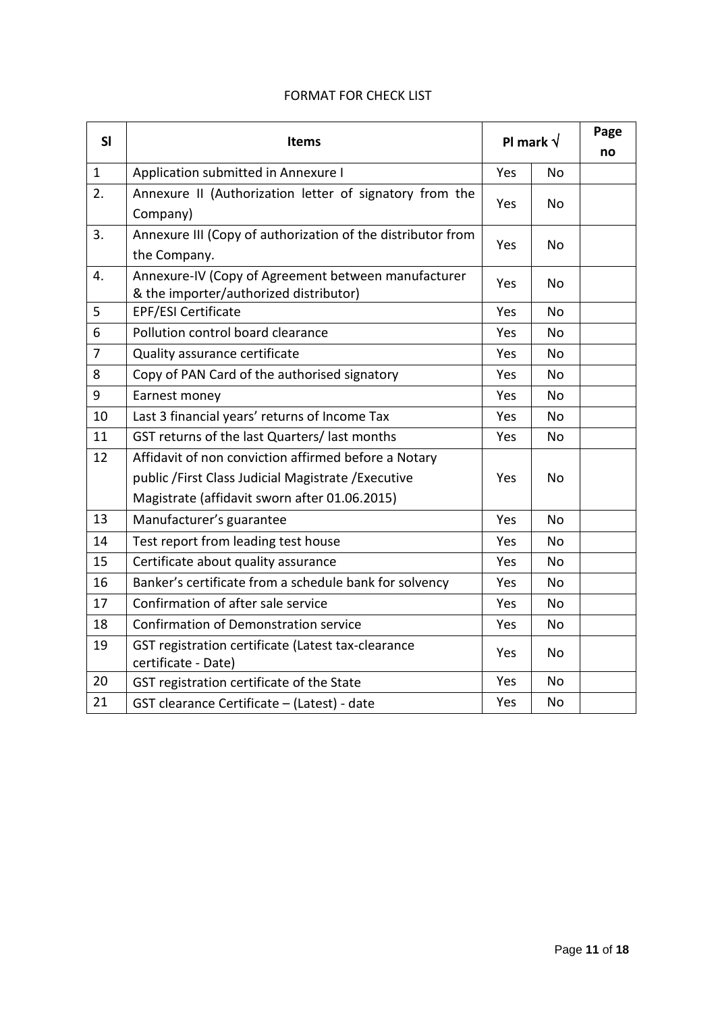#### FORMAT FOR CHECK LIST

| SI           | <b>Items</b>                                                                                                                                                  | Pl mark $\sqrt{}$ |           | Page<br>no |
|--------------|---------------------------------------------------------------------------------------------------------------------------------------------------------------|-------------------|-----------|------------|
| $\mathbf{1}$ | Application submitted in Annexure I                                                                                                                           | Yes               | No        |            |
| 2.           | Annexure II (Authorization letter of signatory from the<br>Company)                                                                                           | Yes               | <b>No</b> |            |
| 3.           | Annexure III (Copy of authorization of the distributor from<br>the Company.                                                                                   | Yes               | <b>No</b> |            |
| 4.           | Annexure-IV (Copy of Agreement between manufacturer<br>& the importer/authorized distributor)                                                                 | Yes               | No        |            |
| 5            | <b>EPF/ESI Certificate</b>                                                                                                                                    | Yes               | <b>No</b> |            |
| 6            | Pollution control board clearance                                                                                                                             | Yes               | No        |            |
| 7            | Quality assurance certificate                                                                                                                                 | Yes               | No        |            |
| 8            | Copy of PAN Card of the authorised signatory                                                                                                                  | Yes               | No        |            |
| 9            | Earnest money                                                                                                                                                 | Yes               | <b>No</b> |            |
| 10           | Last 3 financial years' returns of Income Tax                                                                                                                 | Yes               | No        |            |
| 11           | GST returns of the last Quarters/ last months<br>Yes                                                                                                          |                   | <b>No</b> |            |
| 12           | Affidavit of non conviction affirmed before a Notary<br>public / First Class Judicial Magistrate / Executive<br>Magistrate (affidavit sworn after 01.06.2015) |                   | No        |            |
| 13           | Manufacturer's guarantee                                                                                                                                      | Yes               | <b>No</b> |            |
| 14           | Test report from leading test house                                                                                                                           | Yes               | <b>No</b> |            |
| 15           | Certificate about quality assurance                                                                                                                           | Yes               | <b>No</b> |            |
| 16           | Banker's certificate from a schedule bank for solvency                                                                                                        | Yes               | No        |            |
| 17           | Confirmation of after sale service                                                                                                                            | Yes               | <b>No</b> |            |
| 18           | Confirmation of Demonstration service                                                                                                                         | Yes<br><b>No</b>  |           |            |
| 19           | GST registration certificate (Latest tax-clearance<br>certificate - Date)                                                                                     | Yes<br>No.        |           |            |
| 20           | GST registration certificate of the State                                                                                                                     | Yes               | <b>No</b> |            |
| 21           | GST clearance Certificate - (Latest) - date                                                                                                                   | Yes               | No        |            |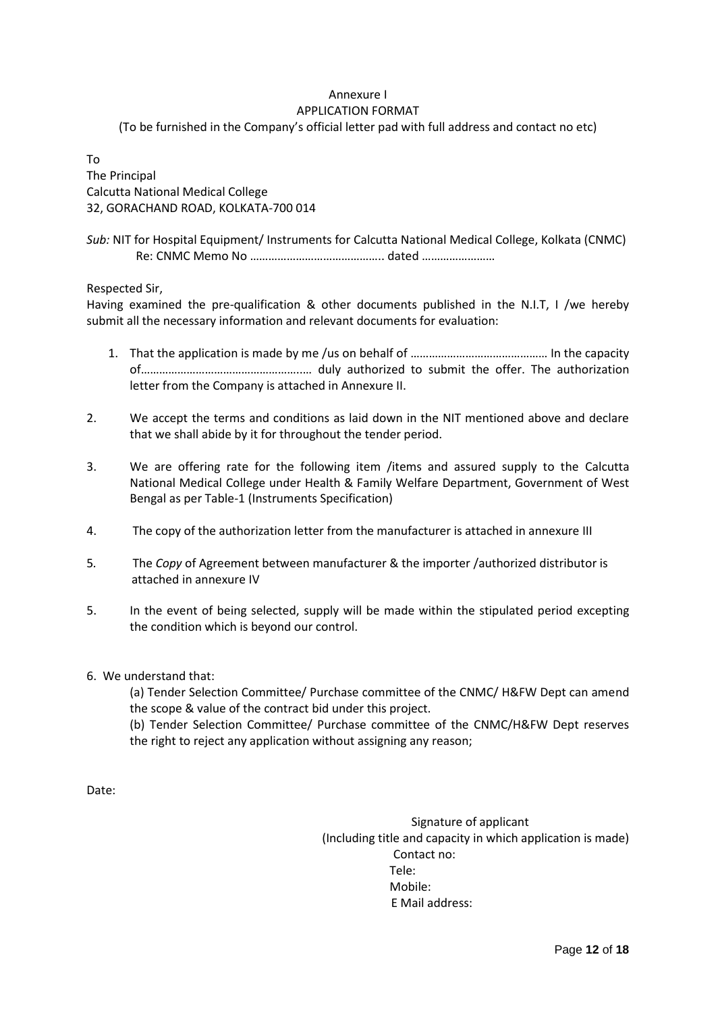#### Annexure I APPLICATION FORMAT

(To be furnished in the Company's official letter pad with full address and contact no etc)

To The Principal Calcutta National Medical College 32, GORACHAND ROAD, KOLKATA-700 014

*Sub:* NIT for Hospital Equipment/ Instruments for Calcutta National Medical College, Kolkata (CNMC) Re: CNMC Memo No …………………………………….. dated ……………………

Respected Sir,

Having examined the pre-qualification & other documents published in the N.I.T, I /we hereby submit all the necessary information and relevant documents for evaluation:

- 1. That the application is made by me /us on behalf of ……………………………………… In the capacity of……………………………………………..… duly authorized to submit the offer. The authorization letter from the Company is attached in Annexure II.
- 2. We accept the terms and conditions as laid down in the NIT mentioned above and declare that we shall abide by it for throughout the tender period.
- 3. We are offering rate for the following item /items and assured supply to the Calcutta National Medical College under Health & Family Welfare Department, Government of West Bengal as per Table-1 (Instruments Specification)
- 4. The copy of the authorization letter from the manufacturer is attached in annexure III
- 5*.* The *Copy* of Agreement between manufacturer & the importer /authorized distributor is attached in annexure IV
- 5. In the event of being selected, supply will be made within the stipulated period excepting the condition which is beyond our control.
- 6. We understand that:

(a) Tender Selection Committee/ Purchase committee of the CNMC/ H&FW Dept can amend the scope & value of the contract bid under this project.

(b) Tender Selection Committee/ Purchase committee of the CNMC/H&FW Dept reserves the right to reject any application without assigning any reason;

Date:

 Signature of applicant (Including title and capacity in which application is made) Contact no: Tele: Mobile: E Mail address: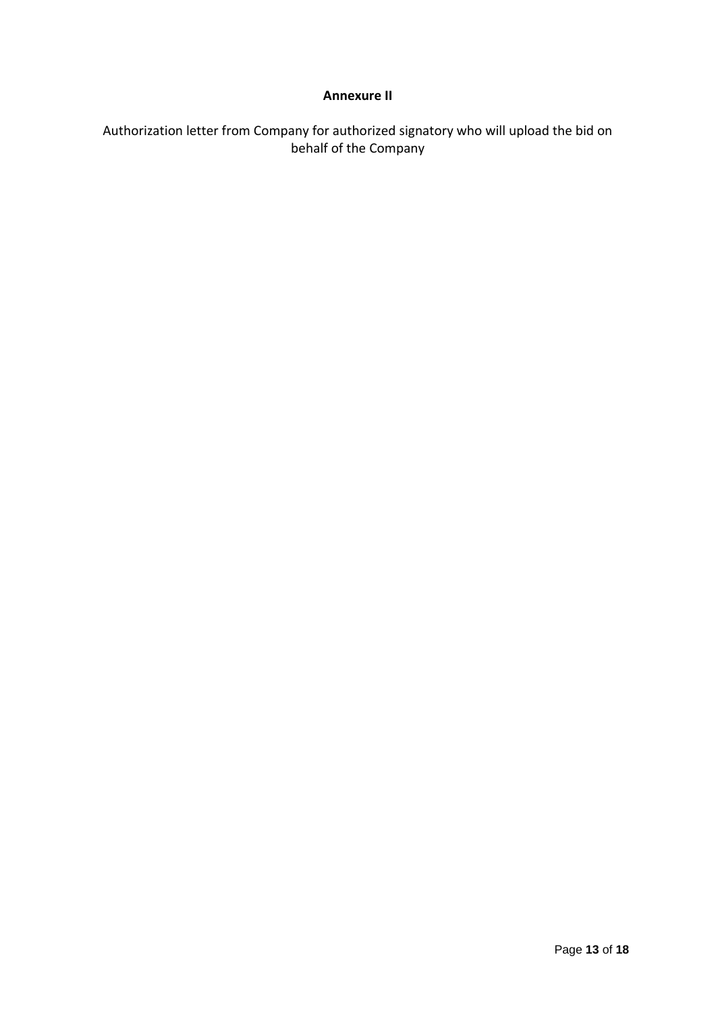### **Annexure II**

## Authorization letter from Company for authorized signatory who will upload the bid on behalf of the Company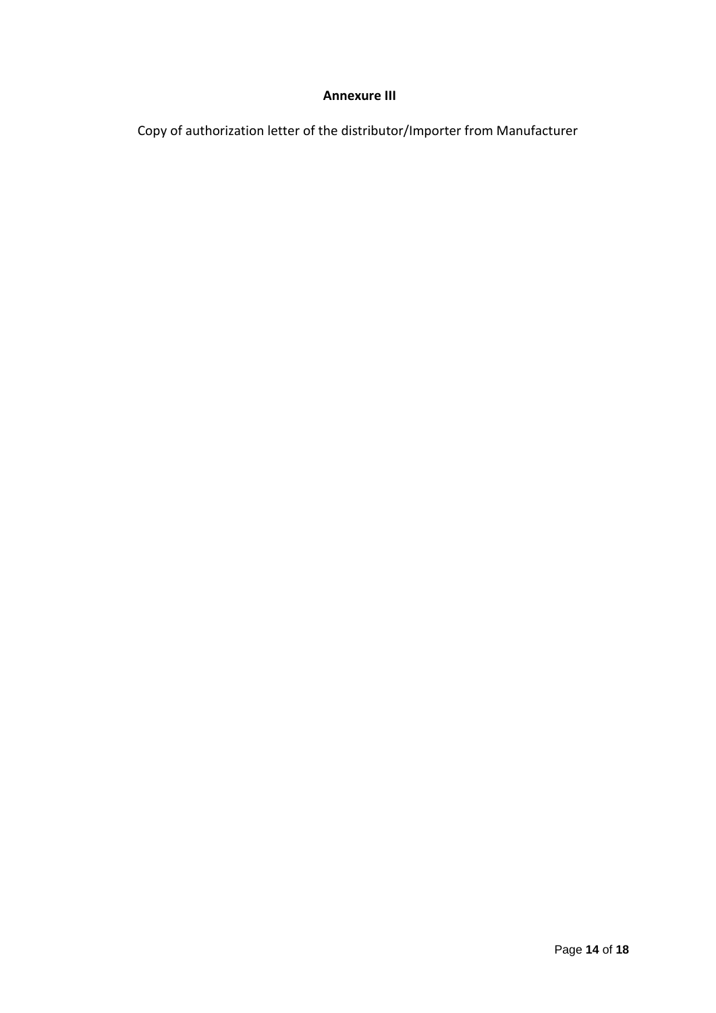#### **Annexure III**

Copy of authorization letter of the distributor/Importer from Manufacturer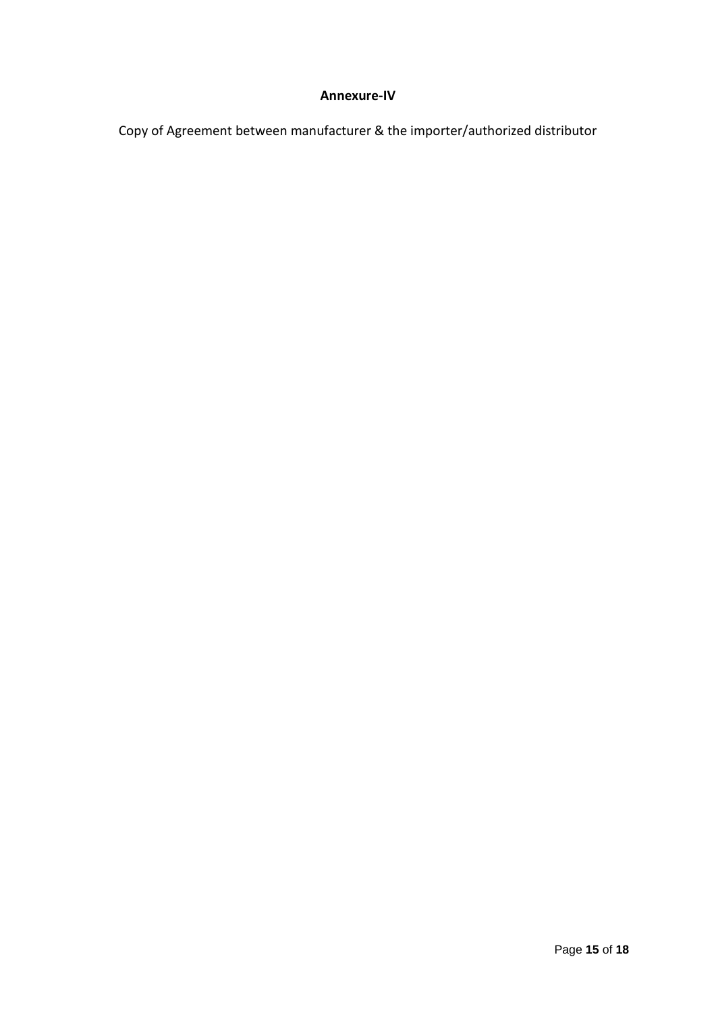### **Annexure-IV**

Copy of Agreement between manufacturer & the importer/authorized distributor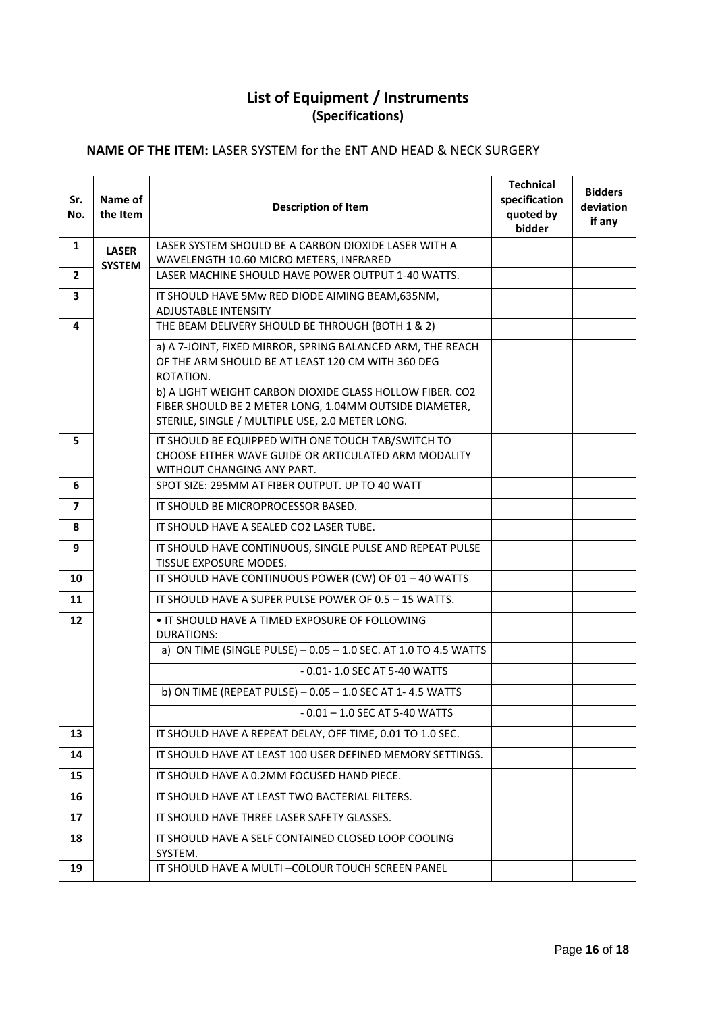# **List of Equipment / Instruments (Specifications)**

## **NAME OF THE ITEM:** LASER SYSTEM for the ENT AND HEAD & NECK SURGERY

| Sr.<br>No.   | Name of<br>the Item           | <b>Description of Item</b>                                                                                                                                            | <b>Technical</b><br>specification<br>quoted by<br>bidder | <b>Bidders</b><br>deviation<br>if any |
|--------------|-------------------------------|-----------------------------------------------------------------------------------------------------------------------------------------------------------------------|----------------------------------------------------------|---------------------------------------|
| 1            | <b>LASER</b><br><b>SYSTEM</b> | LASER SYSTEM SHOULD BE A CARBON DIOXIDE LASER WITH A<br>WAVELENGTH 10.60 MICRO METERS, INFRARED                                                                       |                                                          |                                       |
| $\mathbf{2}$ |                               | LASER MACHINE SHOULD HAVE POWER OUTPUT 1-40 WATTS.                                                                                                                    |                                                          |                                       |
| 3            |                               | IT SHOULD HAVE 5Mw RED DIODE AIMING BEAM, 635NM,<br><b>ADJUSTABLE INTENSITY</b>                                                                                       |                                                          |                                       |
| 4            |                               | THE BEAM DELIVERY SHOULD BE THROUGH (BOTH 1 & 2)                                                                                                                      |                                                          |                                       |
|              |                               | a) A 7-JOINT, FIXED MIRROR, SPRING BALANCED ARM, THE REACH<br>OF THE ARM SHOULD BE AT LEAST 120 CM WITH 360 DEG<br>ROTATION.                                          |                                                          |                                       |
|              |                               | b) A LIGHT WEIGHT CARBON DIOXIDE GLASS HOLLOW FIBER. CO2<br>FIBER SHOULD BE 2 METER LONG, 1.04MM OUTSIDE DIAMETER,<br>STERILE, SINGLE / MULTIPLE USE, 2.0 METER LONG. |                                                          |                                       |
| 5            |                               | IT SHOULD BE EQUIPPED WITH ONE TOUCH TAB/SWITCH TO<br>CHOOSE EITHER WAVE GUIDE OR ARTICULATED ARM MODALITY<br>WITHOUT CHANGING ANY PART.                              |                                                          |                                       |
| 6            |                               | SPOT SIZE: 295MM AT FIBER OUTPUT. UP TO 40 WATT                                                                                                                       |                                                          |                                       |
| 7            |                               | IT SHOULD BE MICROPROCESSOR BASED.                                                                                                                                    |                                                          |                                       |
| 8            |                               | IT SHOULD HAVE A SEALED CO2 LASER TUBE.                                                                                                                               |                                                          |                                       |
| 9            |                               | IT SHOULD HAVE CONTINUOUS, SINGLE PULSE AND REPEAT PULSE<br>TISSUE EXPOSURE MODES.                                                                                    |                                                          |                                       |
| 10           |                               | IT SHOULD HAVE CONTINUOUS POWER (CW) OF 01 - 40 WATTS                                                                                                                 |                                                          |                                       |
| 11           |                               | IT SHOULD HAVE A SUPER PULSE POWER OF 0.5 - 15 WATTS.                                                                                                                 |                                                          |                                       |
| 12           |                               | • IT SHOULD HAVE A TIMED EXPOSURE OF FOLLOWING<br><b>DURATIONS:</b>                                                                                                   |                                                          |                                       |
|              |                               | a) ON TIME (SINGLE PULSE) - 0.05 - 1.0 SEC. AT 1.0 TO 4.5 WATTS                                                                                                       |                                                          |                                       |
|              |                               | - 0.01- 1.0 SEC AT 5-40 WATTS                                                                                                                                         |                                                          |                                       |
|              |                               | b) ON TIME (REPEAT PULSE) - 0.05 - 1.0 SEC AT 1-4.5 WATTS                                                                                                             |                                                          |                                       |
|              |                               | - 0.01 – 1.0 SEC AT 5-40 WATTS                                                                                                                                        |                                                          |                                       |
| 13           |                               | IT SHOULD HAVE A REPEAT DELAY, OFF TIME, 0.01 TO 1.0 SEC.                                                                                                             |                                                          |                                       |
| 14           |                               | IT SHOULD HAVE AT LEAST 100 USER DEFINED MEMORY SETTINGS.                                                                                                             |                                                          |                                       |
| 15           |                               | IT SHOULD HAVE A 0.2MM FOCUSED HAND PIECE.<br>IT SHOULD HAVE AT LEAST TWO BACTERIAL FILTERS.                                                                          |                                                          |                                       |
| 16           |                               |                                                                                                                                                                       |                                                          |                                       |
| 17<br>18     |                               | IT SHOULD HAVE THREE LASER SAFETY GLASSES.<br>IT SHOULD HAVE A SELF CONTAINED CLOSED LOOP COOLING                                                                     |                                                          |                                       |
|              |                               | SYSTEM.                                                                                                                                                               |                                                          |                                       |
| 19           |                               | IT SHOULD HAVE A MULTI-COLOUR TOUCH SCREEN PANEL                                                                                                                      |                                                          |                                       |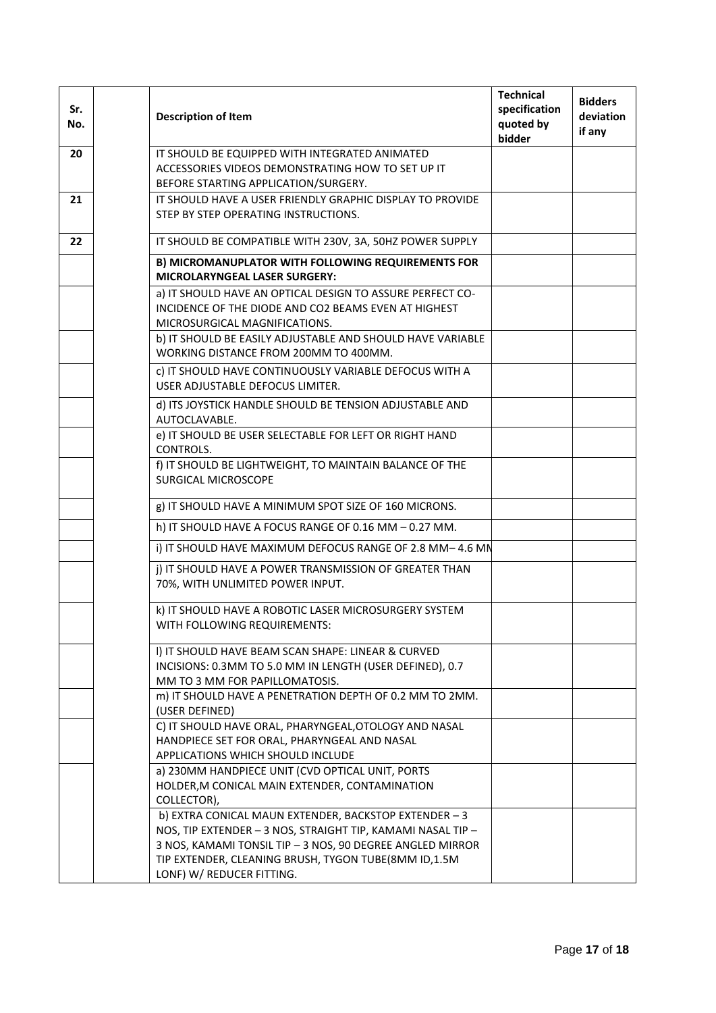| Sr.<br>No. | <b>Description of Item</b>                                                                                                                                                                                                                                             | <b>Technical</b><br>specification<br>quoted by<br>bidder | <b>Bidders</b><br>deviation<br>if any |
|------------|------------------------------------------------------------------------------------------------------------------------------------------------------------------------------------------------------------------------------------------------------------------------|----------------------------------------------------------|---------------------------------------|
| 20         | IT SHOULD BE EQUIPPED WITH INTEGRATED ANIMATED                                                                                                                                                                                                                         |                                                          |                                       |
|            | ACCESSORIES VIDEOS DEMONSTRATING HOW TO SET UP IT                                                                                                                                                                                                                      |                                                          |                                       |
|            | BEFORE STARTING APPLICATION/SURGERY.                                                                                                                                                                                                                                   |                                                          |                                       |
| 21         | IT SHOULD HAVE A USER FRIENDLY GRAPHIC DISPLAY TO PROVIDE                                                                                                                                                                                                              |                                                          |                                       |
|            | STEP BY STEP OPERATING INSTRUCTIONS.                                                                                                                                                                                                                                   |                                                          |                                       |
| 22         | IT SHOULD BE COMPATIBLE WITH 230V, 3A, 50HZ POWER SUPPLY                                                                                                                                                                                                               |                                                          |                                       |
|            | B) MICROMANUPLATOR WITH FOLLOWING REQUIREMENTS FOR<br>MICROLARYNGEAL LASER SURGERY:                                                                                                                                                                                    |                                                          |                                       |
|            | a) IT SHOULD HAVE AN OPTICAL DESIGN TO ASSURE PERFECT CO-<br>INCIDENCE OF THE DIODE AND CO2 BEAMS EVEN AT HIGHEST<br>MICROSURGICAL MAGNIFICATIONS.                                                                                                                     |                                                          |                                       |
|            | b) IT SHOULD BE EASILY ADJUSTABLE AND SHOULD HAVE VARIABLE<br>WORKING DISTANCE FROM 200MM TO 400MM.                                                                                                                                                                    |                                                          |                                       |
|            | c) IT SHOULD HAVE CONTINUOUSLY VARIABLE DEFOCUS WITH A<br>USER ADJUSTABLE DEFOCUS LIMITER.                                                                                                                                                                             |                                                          |                                       |
|            | d) ITS JOYSTICK HANDLE SHOULD BE TENSION ADJUSTABLE AND<br>AUTOCLAVABLE.                                                                                                                                                                                               |                                                          |                                       |
|            | e) IT SHOULD BE USER SELECTABLE FOR LEFT OR RIGHT HAND<br>CONTROLS.                                                                                                                                                                                                    |                                                          |                                       |
|            | f) IT SHOULD BE LIGHTWEIGHT, TO MAINTAIN BALANCE OF THE<br><b>SURGICAL MICROSCOPE</b>                                                                                                                                                                                  |                                                          |                                       |
|            | g) IT SHOULD HAVE A MINIMUM SPOT SIZE OF 160 MICRONS.                                                                                                                                                                                                                  |                                                          |                                       |
|            | h) IT SHOULD HAVE A FOCUS RANGE OF 0.16 MM - 0.27 MM.                                                                                                                                                                                                                  |                                                          |                                       |
|            | i) IT SHOULD HAVE MAXIMUM DEFOCUS RANGE OF 2.8 MM-4.6 MN                                                                                                                                                                                                               |                                                          |                                       |
|            | j) IT SHOULD HAVE A POWER TRANSMISSION OF GREATER THAN<br>70%, WITH UNLIMITED POWER INPUT.                                                                                                                                                                             |                                                          |                                       |
|            | k) IT SHOULD HAVE A ROBOTIC LASER MICROSURGERY SYSTEM<br>WITH FOLLOWING REQUIREMENTS:                                                                                                                                                                                  |                                                          |                                       |
|            | I) IT SHOULD HAVE BEAM SCAN SHAPE: LINEAR & CURVED<br>INCISIONS: 0.3MM TO 5.0 MM IN LENGTH (USER DEFINED), 0.7<br>MM TO 3 MM FOR PAPILLOMATOSIS.                                                                                                                       |                                                          |                                       |
|            | m) IT SHOULD HAVE A PENETRATION DEPTH OF 0.2 MM TO 2MM.<br>(USER DEFINED)                                                                                                                                                                                              |                                                          |                                       |
|            | C) IT SHOULD HAVE ORAL, PHARYNGEAL, OTOLOGY AND NASAL<br>HANDPIECE SET FOR ORAL, PHARYNGEAL AND NASAL<br>APPLICATIONS WHICH SHOULD INCLUDE                                                                                                                             |                                                          |                                       |
|            | a) 230MM HANDPIECE UNIT (CVD OPTICAL UNIT, PORTS<br>HOLDER, M CONICAL MAIN EXTENDER, CONTAMINATION<br>COLLECTOR),                                                                                                                                                      |                                                          |                                       |
|            | b) EXTRA CONICAL MAUN EXTENDER, BACKSTOP EXTENDER - 3<br>NOS, TIP EXTENDER - 3 NOS, STRAIGHT TIP, KAMAMI NASAL TIP -<br>3 NOS, KAMAMI TONSIL TIP - 3 NOS, 90 DEGREE ANGLED MIRROR<br>TIP EXTENDER, CLEANING BRUSH, TYGON TUBE(8MM ID,1.5M<br>LONF) W/ REDUCER FITTING. |                                                          |                                       |